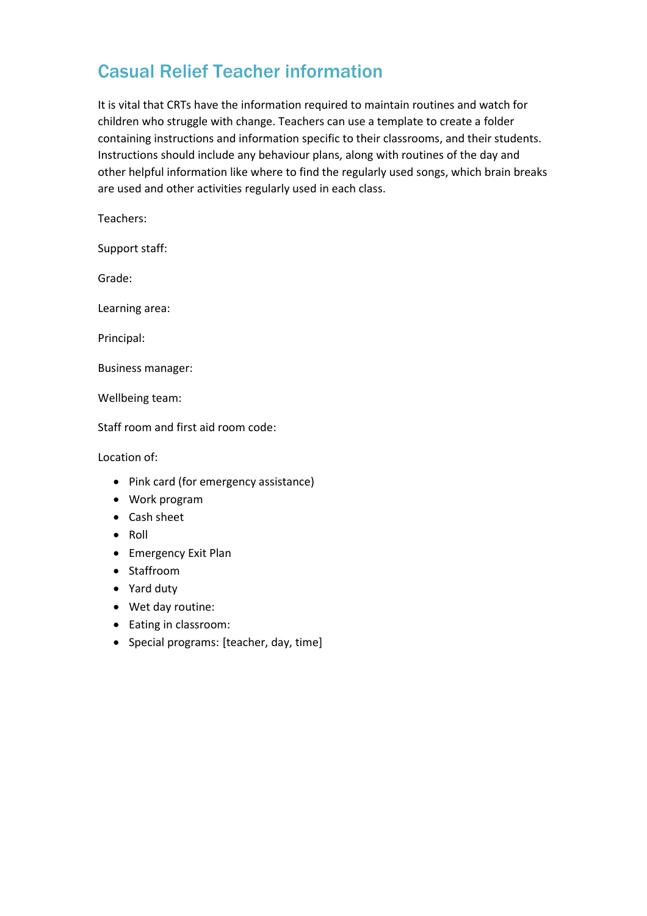## Casual Relief Teacher information

It is vital that CRTs have the information required to maintain routines and watch for children who struggle with change. Teachers can use a template to create a folder containing instructions and information specific to their classrooms, and their students. Instructions should include any behaviour plans, along with routines of the day and other helpful information like where to find the regularly used songs, which brain breaks are used and other activities regularly used in each class.

Teachers:

Support staff:

Grade:

Learning area:

Principal:

Business manager:

Wellbeing team:

Staff room and first aid room code:

Location of:

- Pink card (for emergency assistance)
- Work program
- Cash sheet
- $\bullet$  Roll
- Emergency Exit Plan
- Staffroom
- Yard duty
- Wet day routine:
- Eating in classroom:
- Special programs: [teacher, day, time]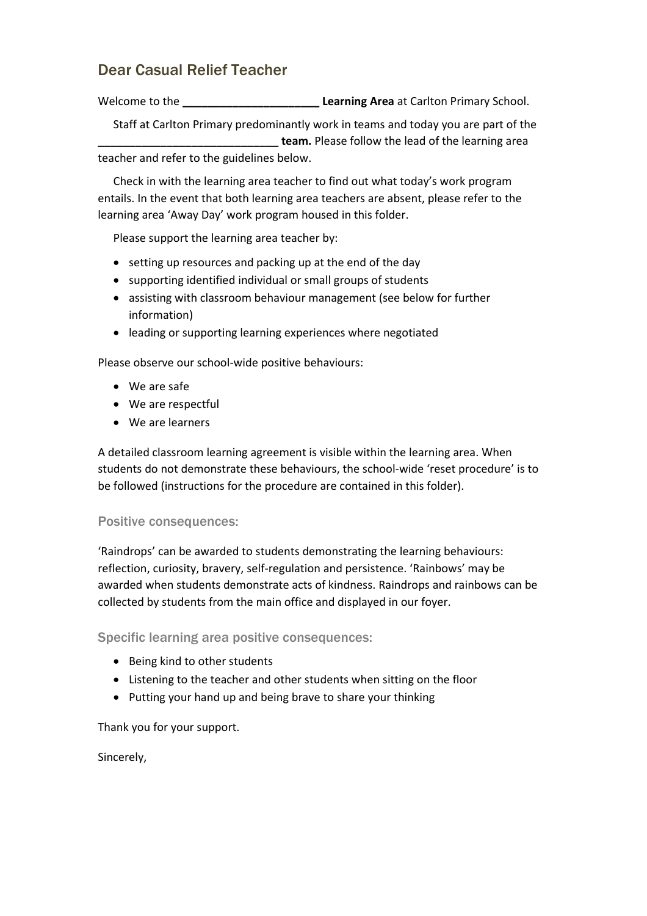## Dear Casual Relief Teacher

Welcome to the **\_\_\_\_\_\_\_\_\_\_\_\_\_\_\_\_\_\_\_\_\_\_ Learning Area** at Carlton Primary School.

Staff at Carlton Primary predominantly work in teams and today you are part of the **\_\_\_\_\_\_\_\_\_\_\_\_\_\_\_\_\_\_\_\_\_\_\_\_\_\_\_\_\_ team.** Please follow the lead of the learning area teacher and refer to the guidelines below.

Check in with the learning area teacher to find out what today's work program entails. In the event that both learning area teachers are absent, please refer to the learning area 'Away Day' work program housed in this folder.

Please support the learning area teacher by:

- setting up resources and packing up at the end of the day
- supporting identified individual or small groups of students
- assisting with classroom behaviour management (see below for further information)
- leading or supporting learning experiences where negotiated

Please observe our school-wide positive behaviours:

- We are safe
- We are respectful
- We are learners

A detailed classroom learning agreement is visible within the learning area. When students do not demonstrate these behaviours, the school-wide 'reset procedure' is to be followed (instructions for the procedure are contained in this folder).

## Positive consequences:

'Raindrops' can be awarded to students demonstrating the learning behaviours: reflection, curiosity, bravery, self-regulation and persistence. 'Rainbows' may be awarded when students demonstrate acts of kindness. Raindrops and rainbows can be collected by students from the main office and displayed in our foyer.

Specific learning area positive consequences:

- Being kind to other students
- Listening to the teacher and other students when sitting on the floor
- Putting your hand up and being brave to share your thinking

Thank you for your support.

Sincerely,